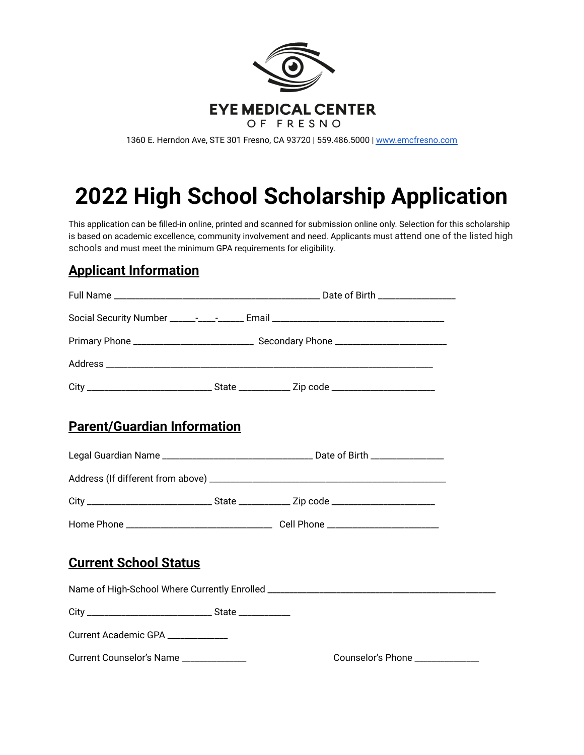

1360 E. Herndon Ave, STE 301 Fresno, CA 93720 | 559.486.5000 | [www.emcfresno.com](http://www.emcfresno.com)

# **2022 High School Scholarship Application**

This application can be filled-in online, printed and scanned for submission online only. Selection for this scholarship is based on academic excellence, community involvement and need. Applicants must attend one of the listed high schools and must meet the minimum GPA requirements for eligibility.

### **Applicant Information**

| <b>Parent/Guardian Information</b> |  |                                  |  |
|------------------------------------|--|----------------------------------|--|
|                                    |  |                                  |  |
|                                    |  |                                  |  |
|                                    |  |                                  |  |
|                                    |  |                                  |  |
| <b>Current School Status</b>       |  |                                  |  |
|                                    |  |                                  |  |
|                                    |  |                                  |  |
| Current Academic GPA _____________ |  |                                  |  |
| Current Counselor's Name           |  | Counselor's Phone ______________ |  |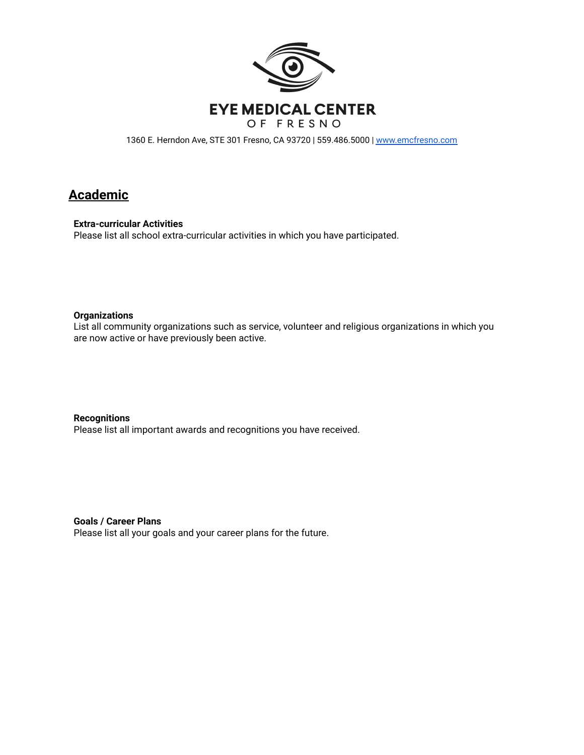

1360 E. Herndon Ave, STE 301 Fresno, CA 93720 | 559.486.5000 | [www.emcfresno.com](http://www.emcfresno.com)

#### **Academic**

**Extra-curricular Activities**

Please list all school extra-curricular activities in which you have participated.

#### **Organizations**

List all community organizations such as service, volunteer and religious organizations in which you are now active or have previously been active.

**Recognitions** Please list all important awards and recognitions you have received.

**Goals / Career Plans**

Please list all your goals and your career plans for the future.